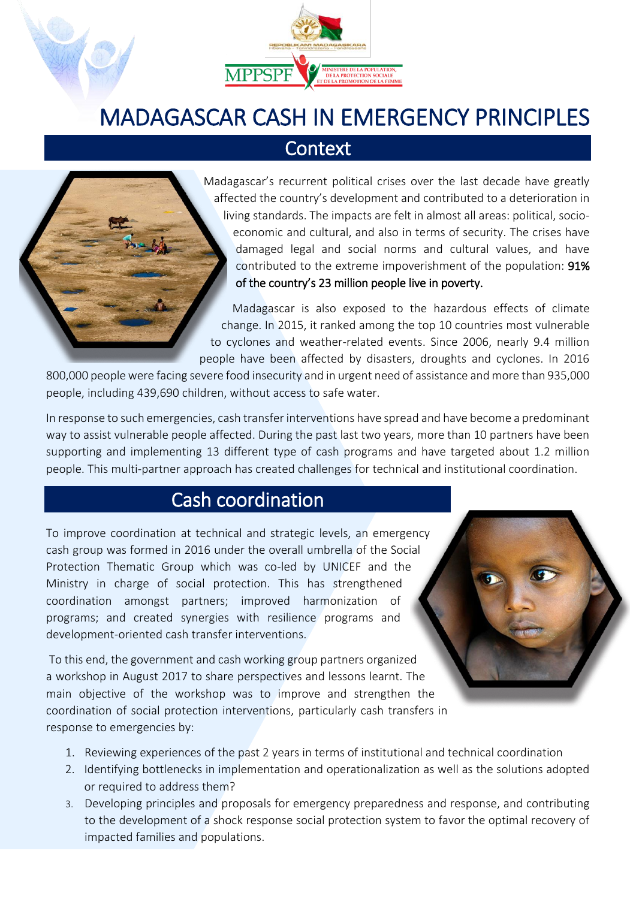

# MADAGASCAR CASH IN EMERGENCY PRINCIPLES

#### **Context**

Madagascar's recurrent political crises over the last decade have greatly affected the country's development and contributed to a deterioration in living standards. The impacts are felt in almost all areas: political, socioeconomic and cultural, and also in terms of security. The crises have damaged legal and social norms and cultural values, and have contributed to the extreme impoverishment of the population: 91% of the country's 23 million people live in poverty.

Madagascar is also exposed to the hazardous effects of climate change. In 2015, it ranked among the top 10 countries most vulnerable to cyclones and weather-related events. Since 2006, nearly 9.4 million people have been affected by disasters, droughts and cyclones. In 2016

800,000 people were facing severe food insecurity and in urgent need of assistance and more than 935,000 people, including 439,690 children, without access to safe water.

In response to such emergencies, cash transfer interventions have spread and have become a predominant way to assist vulnerable people affected. During the past last two years, more than 10 partners have been supporting and implementing 13 different type of cash programs and have targeted about 1.2 million people. This multi-partner approach has created challenges for technical and institutional coordination.

## Cash coordination

To improve coordination at technical and strategic levels, an emergency cash group was formed in 2016 under the overall umbrella of the Social Protection Thematic Group which was co-led by UNICEF and the Ministry in charge of social protection. This has strengthened coordination amongst partners; improved harmonization of programs; and created synergies with resilience programs and development-oriented cash transfer interventions.

To this end, the government and cash working group partners organized a workshop in August 2017 to share perspectives and lessons learnt. The main objective of the workshop was to improve and strengthen the coordination of social protection interventions, particularly cash transfers in response to emergencies by:

- 1. Reviewing experiences of the past 2 years in terms of institutional and technical coordination
- 2. Identifying bottlenecks in implementation and operationalization as well as the solutions adopted or required to address them?
- 3. Developing principles and proposals for emergency preparedness and response, and contributing to the development of a shock response social protection system to favor the optimal recovery of impacted families and populations.